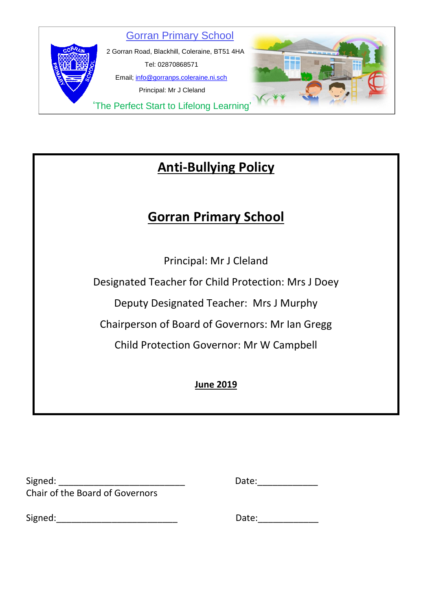

# **Anti-Bullying Policy**

# **Gorran Primary School**

Principal: Mr J Cleland

Designated Teacher for Child Protection: Mrs J Doey

Deputy Designated Teacher: Mrs J Murphy

Chairperson of Board of Governors: Mr Ian Gregg

Child Protection Governor: Mr W Campbell

**June 2019**

| Signed:                                | Date: |
|----------------------------------------|-------|
| <b>Chair of the Board of Governors</b> |       |

Signed:\_\_\_\_\_\_\_\_\_\_\_\_\_\_\_\_\_\_\_\_\_\_\_\_ Date:\_\_\_\_\_\_\_\_\_\_\_\_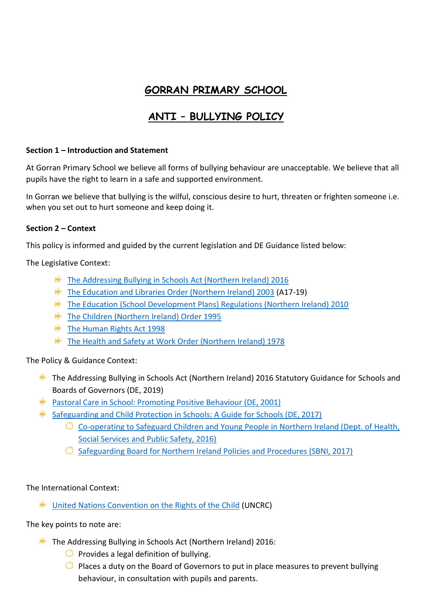# **GORRAN PRIMARY SCHOOL**

# **ANTI – BULLYING POLICY**

#### **Section 1 – Introduction and Statement**

At Gorran Primary School we believe all forms of bullying behaviour are unacceptable. We believe that all pupils have the right to learn in a safe and supported environment.

In Gorran we believe that bullying is the wilful, conscious desire to hurt, threaten or frighten someone i.e. when you set out to hurt someone and keep doing it.

#### **Section 2 – Context**

This policy is informed and guided by the current legislation and DE Guidance listed below:

The Legislative Context:

- **\*** [The Addressing Bullying in Schools Act \(Northern Ireland\) 2016](http://www.legislation.gov.uk/nia/2016/25/contents)
- \* [The Education and Libraries Order \(Northern Ireland\) 2003](http://www.legislation.gov.uk/nisi/2003/424/contents/made) (A17-19)
- **\*** [The Education \(School Development Plans\) Regulations \(Northern Ireland\) 2010](https://www.education-ni.gov.uk/sites/default/files/publications/de/annex-a-school-development-plans-regulations-2010.pdf)
- **\*** [The Children \(Northern Ireland\) Order 1995](http://www.legislation.gov.uk/nisi/1995/755/contents/made)
- $*$  [The Human Rights Act 1998](https://www.legislation.gov.uk/ukpga/1998/42/contents)
- **\*** The Health and Safety at [Work Order \(Northern Ireland\) 1978](https://www.legislation.gov.uk/nisi/1978/1039)

The Policy & Guidance Context:

- **\*** The Addressing Bullying in Schools Act (Northern Ireland) 2016 Statutory Guidance for Schools and Boards of Governors (DE, 2019)
- [Pastoral Care in School: Promoting Positive Behaviour \(DE, 2001\)](https://www.education-ni.gov.uk/sites/default/files/publications/de/pastoral%20care%20in%20schools.pdf)
- [Safeguarding and Child Protection in Schools: A Guide for Schools \(DE, 2017\)](https://www.education-ni.gov.uk/sites/default/files/publications/education/Safeguarding-and-Child-Protection-in-Schools-A-Guide-for-Schools.pdf)
	- [Co-operating to Safeguard Children and Young People in Northern Ireland \(Dept. of Health,](https://www.health-ni.gov.uk/publications/co-operating-safeguard-children-and-young-people-northern-ireland)  [Social Services and Public Safety, 2016\)](https://www.health-ni.gov.uk/publications/co-operating-safeguard-children-and-young-people-northern-ireland)
	- $\circ$  [Safeguarding Board for Northern Ireland Policies and Procedures \(SBNI, 2017\)](https://www.proceduresonline.com/sbni/)

The International Context:

\* [United Nations Convention on the Rights of the Child](https://downloads.unicef.org.uk/wp-content/uploads/2010/05/UNCRC_united_nations_convention_on_the_rights_of_the_child.pdf?_ga=2.109765637.1827233515.1552648186-274690600.1552648186) (UNCRC)

The key points to note are:

- **The Addressing Bullying in Schools Act (Northern Ireland) 2016:** 
	- $\bullet$  Provides a legal definition of bullying.
	- $\bullet$  Places a duty on the Board of Governors to put in place measures to prevent bullying behaviour, in consultation with pupils and parents.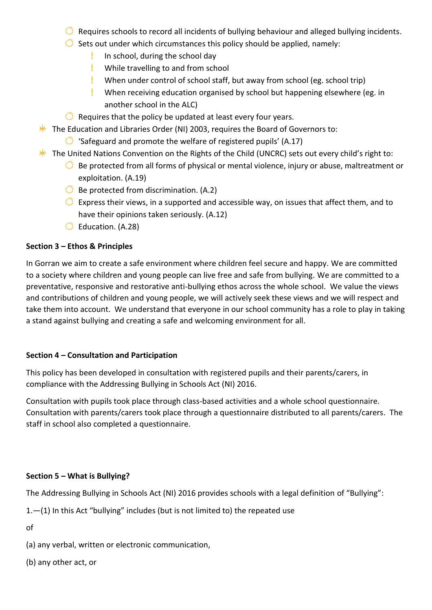- $\bullet$  Requires schools to record all incidents of bullying behaviour and alleged bullying incidents.
- $\bullet$  Sets out under which circumstances this policy should be applied, namely:
	- In school, during the school day Ţ.
	- While travelling to and from school
	- When under control of school staff, but away from school (eg. school trip)
	- L When receiving education organised by school but happening elsewhere (eg. in another school in the ALC)
- $\bullet$  Requires that the policy be updated at least every four years.
- $*$  The Education and Libraries Order (NI) 2003, requires the Board of Governors to:
	- $\bigcirc$  'Safeguard and promote the welfare of registered pupils' (A.17)
- $*$  The United Nations Convention on the Rights of the Child (UNCRC) sets out every child's right to:
	- $\bullet$  Be protected from all forms of physical or mental violence, injury or abuse, maltreatment or exploitation. (A.19)
	- $\bullet$  Be protected from discrimination. (A.2)
	- $\bullet$  Express their views, in a supported and accessible way, on issues that affect them, and to have their opinions taken seriously. (A.12)
	- G Education. (A.28)

#### **Section 3 – Ethos & Principles**

In Gorran we aim to create a safe environment where children feel secure and happy. We are committed to a society where children and young people can live free and safe from bullying. We are committed to a preventative, responsive and restorative anti-bullying ethos across the whole school. We value the views and contributions of children and young people, we will actively seek these views and we will respect and take them into account. We understand that everyone in our school community has a role to play in taking a stand against bullying and creating a safe and welcoming environment for all.

#### **Section 4 – Consultation and Participation**

This policy has been developed in consultation with registered pupils and their parents/carers, in compliance with the Addressing Bullying in Schools Act (NI) 2016.

Consultation with pupils took place through class-based activities and a whole school questionnaire. Consultation with parents/carers took place through a questionnaire distributed to all parents/carers. The staff in school also completed a questionnaire.

#### **Section 5 – What is Bullying?**

The Addressing Bullying in Schools Act (NI) 2016 provides schools with a legal definition of "Bullying":

1.—(1) In this Act "bullying" includes (but is not limited to) the repeated use

of

- (a) any verbal, written or electronic communication,
- (b) any other act, or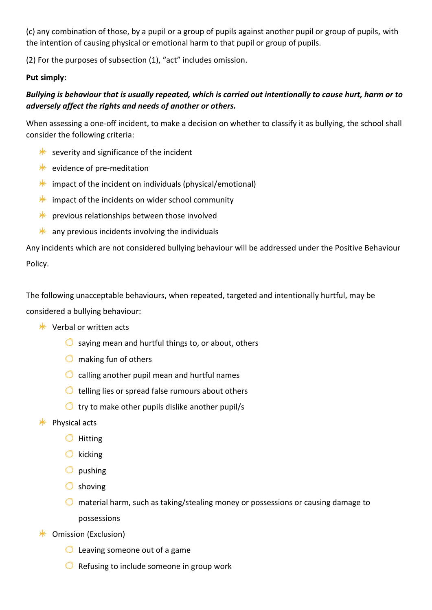(c) any combination of those, by a pupil or a group of pupils against another pupil or group of pupils, with the intention of causing physical or emotional harm to that pupil or group of pupils.

(2) For the purposes of subsection (1), "act" includes omission.

#### **Put simply:**

# *Bullying is behaviour that is usually repeated, which is carried out intentionally to cause hurt, harm or to adversely affect the rights and needs of another or others.*

When assessing a one-off incident, to make a decision on whether to classify it as bullying, the school shall consider the following criteria:

- $*$  severity and significance of the incident
- $*$  evidence of pre-meditation
- $*$  impact of the incident on individuals (physical/emotional)
- $*$  impact of the incidents on wider school community
- $*$  previous relationships between those involved
- $*$  any previous incidents involving the individuals

Any incidents which are not considered bullying behaviour will be addressed under the Positive Behaviour Policy.

The following unacceptable behaviours, when repeated, targeted and intentionally hurtful, may be considered a bullying behaviour:

- $*$  Verbal or written acts
	- $\bullet$  saying mean and hurtful things to, or about, others
	- $\bullet$  making fun of others
	- $\bigcirc$  calling another pupil mean and hurtful names
	- $\bullet$  telling lies or spread false rumours about others
	- $\bullet$  try to make other pupils dislike another pupil/s
- $*$  Physical acts
	- $\bigcirc$  Hitting
	- $\bigcirc$  kicking
	- $\bigcirc$  pushing
	- Shoving
	- $\bullet$  material harm, such as taking/stealing money or possessions or causing damage to possessions
- **<del></del>** Omission (Exclusion)
	- **C** Leaving someone out of a game
	- $\bullet$  Refusing to include someone in group work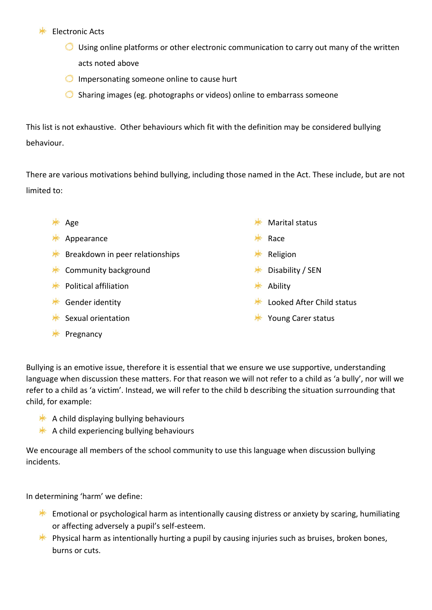#### $*$  Electronic Acts

- $\bigcirc$  Using online platforms or other electronic communication to carry out many of the written acts noted above
- $\bigcirc$  Impersonating someone online to cause hurt
- $\bullet$  Sharing images (eg. photographs or videos) online to embarrass someone

This list is not exhaustive. Other behaviours which fit with the definition may be considered bullying behaviour.

There are various motivations behind bullying, including those named in the Act. These include, but are not limited to:

| ∗ | Age                             | ☀  | <b>Marital status</b>     |
|---|---------------------------------|----|---------------------------|
| ∗ | Appearance                      | ⊁⊱ | Race                      |
| ☀ | Breakdown in peer relationships | ∗  | Religion                  |
| ☀ | Community background            | ∗  | Disability / SEN          |
| ☀ | <b>Political affiliation</b>    | ∗  | Ability                   |
| ☀ | Gender identity                 |    | Looked After Child status |
|   | Sexual orientation              |    | Young Carer status        |

 $*$  Pregnancy

Bullying is an emotive issue, therefore it is essential that we ensure we use supportive, understanding language when discussion these matters. For that reason we will not refer to a child as 'a bully', nor will we refer to a child as 'a victim'. Instead, we will refer to the child b describing the situation surrounding that child, for example:

- $*$  A child displaying bullying behaviours
- $*$  A child experiencing bullying behaviours

We encourage all members of the school community to use this language when discussion bullying incidents.

In determining 'harm' we define:

- **Emotional or psychological harm as intentionally causing distress or anxiety by scaring, humiliating** or affecting adversely a pupil's self-esteem.
- **EX** Physical harm as intentionally hurting a pupil by causing injuries such as bruises, broken bones, burns or cuts.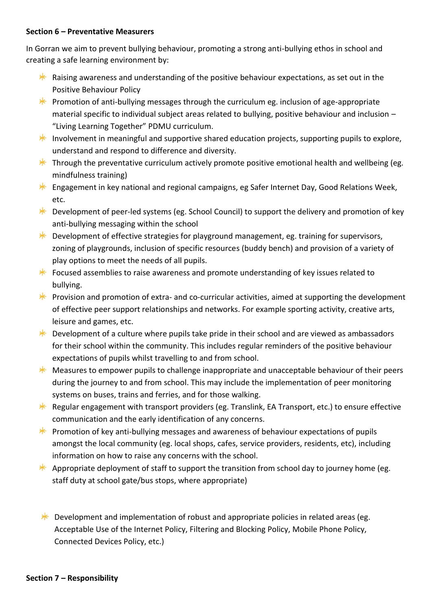#### **Section 6 – Preventative Measurers**

In Gorran we aim to prevent bullying behaviour, promoting a strong anti-bullying ethos in school and creating a safe learning environment by:

- $*$  Raising awareness and understanding of the positive behaviour expectations, as set out in the Positive Behaviour Policy
- **EX** Promotion of anti-bullying messages through the curriculum eg. inclusion of age-appropriate material specific to individual subject areas related to bullying, positive behaviour and inclusion – "Living Learning Together" PDMU curriculum.
- **Involvement in meaningful and supportive shared education projects, supporting pupils to explore,** understand and respond to difference and diversity.
- $*$  Through the preventative curriculum actively promote positive emotional health and wellbeing (eg. mindfulness training)
- **Engagement in key national and regional campaigns, eg Safer Internet Day, Good Relations Week,** etc.
- $*$  Development of peer-led systems (eg. School Council) to support the delivery and promotion of key anti-bullying messaging within the school
- $*$  Development of effective strategies for playground management, eg. training for supervisors, zoning of playgrounds, inclusion of specific resources (buddy bench) and provision of a variety of play options to meet the needs of all pupils.
- $*$  Focused assemblies to raise awareness and promote understanding of key issues related to bullying.
- **EX** Provision and promotion of extra- and co-curricular activities, aimed at supporting the development of effective peer support relationships and networks. For example sporting activity, creative arts, leisure and games, etc.
- $*$  Development of a culture where pupils take pride in their school and are viewed as ambassadors for their school within the community. This includes regular reminders of the positive behaviour expectations of pupils whilst travelling to and from school.
- $*$  Measures to empower pupils to challenge inappropriate and unacceptable behaviour of their peers during the journey to and from school. This may include the implementation of peer monitoring systems on buses, trains and ferries, and for those walking.
- **K** Regular engagement with transport providers (eg. Translink, EA Transport, etc.) to ensure effective communication and the early identification of any concerns.
- **EX** Promotion of key anti-bullying messages and awareness of behaviour expectations of pupils amongst the local community (eg. local shops, cafes, service providers, residents, etc), including information on how to raise any concerns with the school.
- Appropriate deployment of staff to support the transition from school day to journey home (eg. staff duty at school gate/bus stops, where appropriate)

**EXECUTE:** Development and implementation of robust and appropriate policies in related areas (eg. Acceptable Use of the Internet Policy, Filtering and Blocking Policy, Mobile Phone Policy, Connected Devices Policy, etc.)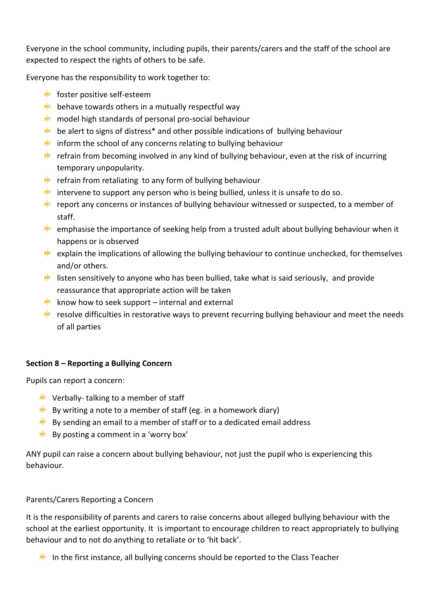Everyone in the school community, including pupils, their parents/carers and the staff of the school are expected to respect the rights of others to be safe.

Everyone has the responsibility to work together to:

- $*$  foster positive self-esteem
- $*$  behave towards others in a mutually respectful way
- $*$  model high standards of personal pro-social behaviour
- $*$  be alert to signs of distress<sup>\*</sup> and other possible indications of bullying behaviour
- $*$  inform the school of any concerns relating to bullying behaviour
- **EXECUTE:** refrain from becoming involved in any kind of bullying behaviour, even at the risk of incurring temporary unpopularity.
- $*$  refrain from retaliating to any form of bullying behaviour
- $*$  intervene to support any person who is being bullied, unless it is unsafe to do so.
- Freport any concerns or instances of bullying behaviour witnessed or suspected, to a member of staff.
- $*$  emphasise the importance of seeking help from a trusted adult about bullying behaviour when it happens or is observed
- $*$  explain the implications of allowing the bullying behaviour to continue unchecked, for themselves and/or others.
- **I** listen sensitively to anyone who has been bullied, take what is said seriously, and provide reassurance that appropriate action will be taken
- $*$  know how to seek support internal and external
- **EXECUTE:** resolve difficulties in restorative ways to prevent recurring bullying behaviour and meet the needs of all parties

## **Section 8 – Reporting a Bullying Concern**

Pupils can report a concern:

- $*$  Verbally-talking to a member of staff
- $*$  By writing a note to a member of staff (eg. in a homework diary)
- $*$  By sending an email to a member of staff or to a dedicated email address
- $*$  By posting a comment in a 'worry box'

ANY pupil can raise a concern about bullying behaviour, not just the pupil who is experiencing this behaviour.

## Parents/Carers Reporting a Concern

It is the responsibility of parents and carers to raise concerns about alleged bullying behaviour with the school at the earliest opportunity. It is important to encourage children to react appropriately to bullying behaviour and to not do anything to retaliate or to 'hit back'.

In the first instance, all bullying concerns should be reported to the Class Teacher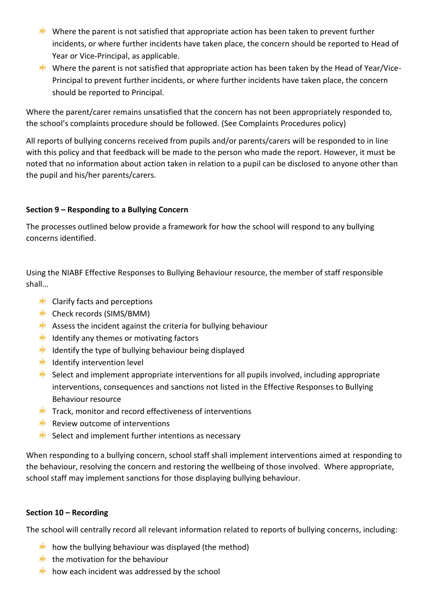- Where the parent is not satisfied that appropriate action has been taken to prevent further incidents, or where further incidents have taken place, the concern should be reported to Head of Year or Vice-Principal, as applicable.
- Where the parent is not satisfied that appropriate action has been taken by the Head of Year/Vice-Principal to prevent further incidents, or where further incidents have taken place, the concern should be reported to Principal.

Where the parent/carer remains unsatisfied that the concern has not been appropriately responded to, the school's complaints procedure should be followed. (See Complaints Procedures policy)

All reports of bullying concerns received from pupils and/or parents/carers will be responded to in line with this policy and that feedback will be made to the person who made the report. However, it must be noted that no information about action taken in relation to a pupil can be disclosed to anyone other than the pupil and his/her parents/carers.

### **Section 9 – Responding to a Bullying Concern**

The processes outlined below provide a framework for how the school will respond to any bullying concerns identified.

Using the NIABF Effective Responses to Bullying Behaviour resource, the member of staff responsible shall…

- $*$  Clarify facts and perceptions
- $*$  Check records (SIMS/BMM)
- Assess the incident against the criteria for bullying behaviour
- $*$  Identify any themes or motivating factors
- $*$  Identify the type of bullying behaviour being displayed
- $*$  Identify intervention level
- $*$  Select and implement appropriate interventions for all pupils involved, including appropriate interventions, consequences and sanctions not listed in the Effective Responses to Bullying Behaviour resource
- $*$  Track, monitor and record effectiveness of interventions
- $*$  Review outcome of interventions
- $*$  Select and implement further intentions as necessary

When responding to a bullying concern, school staff shall implement interventions aimed at responding to the behaviour, resolving the concern and restoring the wellbeing of those involved. Where appropriate, school staff may implement sanctions for those displaying bullying behaviour.

#### **Section 10 – Recording**

The school will centrally record all relevant information related to reports of bullying concerns, including:

- $*$  how the bullying behaviour was displayed (the method)
- $*$  the motivation for the behaviour
- $*$  how each incident was addressed by the school